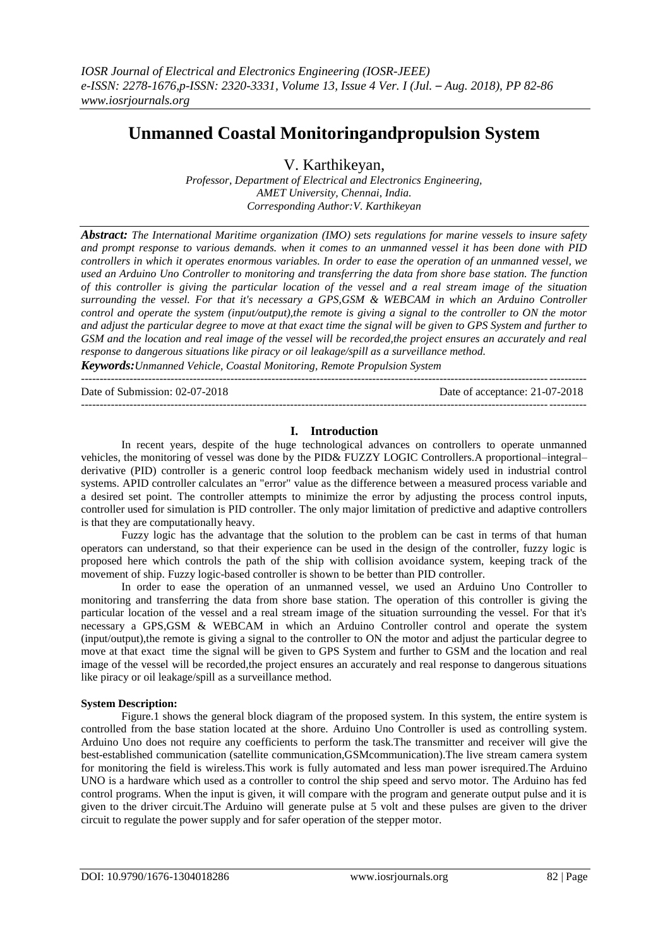# **Unmanned Coastal Monitoringandpropulsion System**

V. Karthikeyan,

*Professor, Department of Electrical and Electronics Engineering, AMET University, Chennai, India. Corresponding Author:V. Karthikeyan*

*Abstract: The International Maritime organization (IMO) sets regulations for marine vessels to insure safety and prompt response to various demands. when it comes to an unmanned vessel it has been done with PID controllers in which it operates enormous variables. In order to ease the operation of an unmanned vessel, we used an Arduino Uno Controller to monitoring and transferring the data from shore base station. The function of this controller is giving the particular location of the vessel and a real stream image of the situation surrounding the vessel. For that it's necessary a GPS,GSM & WEBCAM in which an Arduino Controller control and operate the system (input/output),the remote is giving a signal to the controller to ON the motor and adjust the particular degree to move at that exact time the signal will be given to GPS System and further to GSM and the location and real image of the vessel will be recorded,the project ensures an accurately and real response to dangerous situations like piracy or oil leakage/spill as a surveillance method.*

*Keywords:Unmanned Vehicle, Coastal Monitoring, Remote Propulsion System* ---------------------------------------------------------------------------------------------------------------------------------------

Date of Submission: 02-07-2018 Date of acceptance: 21-07-2018 ---------------------------------------------------------------------------------------------------------------------------------------

# **I. Introduction**

In recent years, despite of the huge technological advances on controllers to operate unmanned vehicles, the monitoring of vessel was done by the PID& FUZZY LOGIC Controllers.A proportional–integral– derivative (PID) controller is a generic control loop feedback mechanism widely used in industrial control systems. APID controller calculates an "error" value as the difference between a measured process variable and a desired set point. The controller attempts to minimize the error by adjusting the process control inputs, controller used for simulation is PID controller. The only major limitation of predictive and adaptive controllers is that they are computationally heavy.

Fuzzy logic has the advantage that the solution to the problem can be cast in terms of that human operators can understand, so that their experience can be used in the design of the controller, fuzzy logic is proposed here which controls the path of the ship with collision avoidance system, keeping track of the movement of ship. Fuzzy logic-based controller is shown to be better than PID controller.

In order to ease the operation of an unmanned vessel, we used an Arduino Uno Controller to monitoring and transferring the data from shore base station. The operation of this controller is giving the particular location of the vessel and a real stream image of the situation surrounding the vessel. For that it's necessary a GPS,GSM & WEBCAM in which an Arduino Controller control and operate the system (input/output),the remote is giving a signal to the controller to ON the motor and adjust the particular degree to move at that exact time the signal will be given to GPS System and further to GSM and the location and real image of the vessel will be recorded,the project ensures an accurately and real response to dangerous situations like piracy or oil leakage/spill as a surveillance method.

# **System Description:**

Figure.1 shows the general block diagram of the proposed system. In this system, the entire system is controlled from the base station located at the shore. Arduino Uno Controller is used as controlling system. Arduino Uno does not require any coefficients to perform the task.The transmitter and receiver will give the best-established communication (satellite communication,GSMcommunication).The live stream camera system for monitoring the field is wireless.This work is fully automated and less man power isrequired.The Arduino UNO is a hardware which used as a controller to control the ship speed and servo motor. The Arduino has fed control programs. When the input is given, it will compare with the program and generate output pulse and it is given to the driver circuit.The Arduino will generate pulse at 5 volt and these pulses are given to the driver circuit to regulate the power supply and for safer operation of the stepper motor.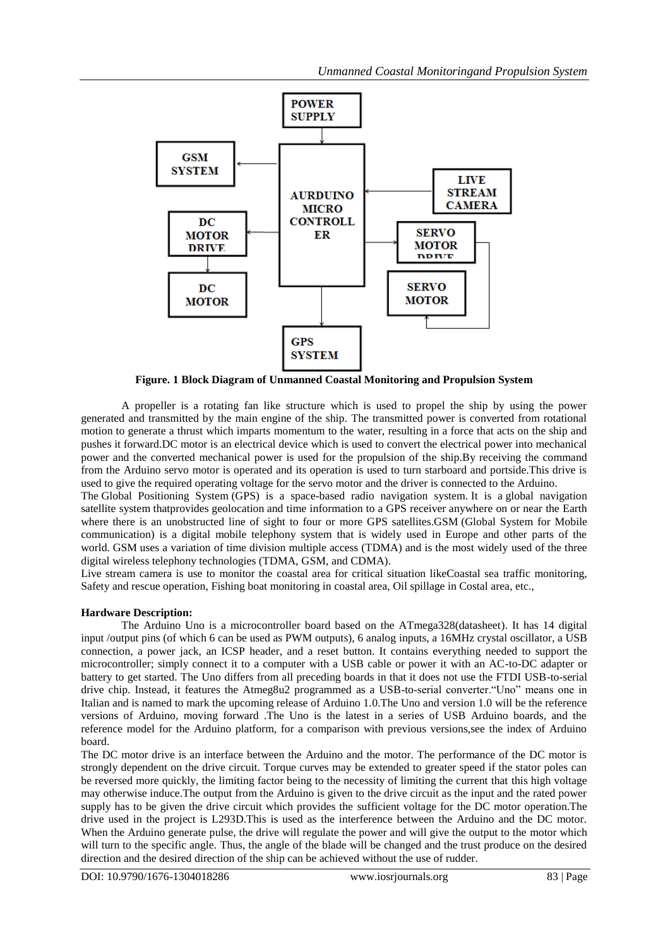

**Figure. 1 Block Diagram of Unmanned Coastal Monitoring and Propulsion System**

A propeller is a rotating fan like structure which is used to propel the ship by using the power generated and transmitted by the main engine of the ship. The transmitted power is converted from rotational motion to generate a thrust which imparts momentum to the water, resulting in a force that acts on the ship and pushes it forward.DC motor is an electrical device which is used to convert the electrical power into mechanical power and the converted mechanical power is used for the propulsion of the ship.By receiving the command from the Arduino servo motor is operated and its operation is used to turn starboard and portside.This drive is used to give the required operating voltage for the servo motor and the driver is connected to the Arduino.

The Global Positioning System (GPS) is a space-based radio navigation system. It is a global navigation satellite system thatprovides geolocation and time information to a GPS receiver anywhere on or near the Earth where there is an unobstructed line of sight to four or more GPS satellites.GSM (Global System for Mobile communication) is a digital mobile telephony system that is widely used in Europe and other parts of the world. GSM uses a variation of time division multiple access (TDMA) and is the most widely used of the three digital wireless telephony technologies (TDMA, GSM, and CDMA).

Live stream camera is use to monitor the coastal area for critical situation likeCoastal sea traffic monitoring, Safety and rescue operation, Fishing boat monitoring in coastal area, Oil spillage in Costal area, etc.,

# **Hardware Description:**

The Arduino Uno is a microcontroller board based on the ATmega328(datasheet). It has 14 digital input /output pins (of which 6 can be used as PWM outputs), 6 analog inputs, a 16MHz crystal oscillator, a USB connection, a power jack, an ICSP header, and a reset button. It contains everything needed to support the microcontroller; simply connect it to a computer with a USB cable or power it with an AC-to-DC adapter or battery to get started. The Uno differs from all preceding boards in that it does not use the FTDI USB-to-serial drive chip. Instead, it features the Atmeg8u2 programmed as a USB-to-serial converter."Uno" means one in Italian and is named to mark the upcoming release of Arduino 1.0.The Uno and version 1.0 will be the reference versions of Arduino, moving forward .The Uno is the latest in a series of USB Arduino boards, and the reference model for the Arduino platform, for a comparison with previous versions,see the index of Arduino board.

The DC motor drive is an interface between the Arduino and the motor. The performance of the DC motor is strongly dependent on the drive circuit. Torque curves may be extended to greater speed if the stator poles can be reversed more quickly, the limiting factor being to the necessity of limiting the current that this high voltage may otherwise induce.The output from the Arduino is given to the drive circuit as the input and the rated power supply has to be given the drive circuit which provides the sufficient voltage for the DC motor operation.The drive used in the project is L293D.This is used as the interference between the Arduino and the DC motor. When the Arduino generate pulse, the drive will regulate the power and will give the output to the motor which will turn to the specific angle. Thus, the angle of the blade will be changed and the trust produce on the desired direction and the desired direction of the ship can be achieved without the use of rudder.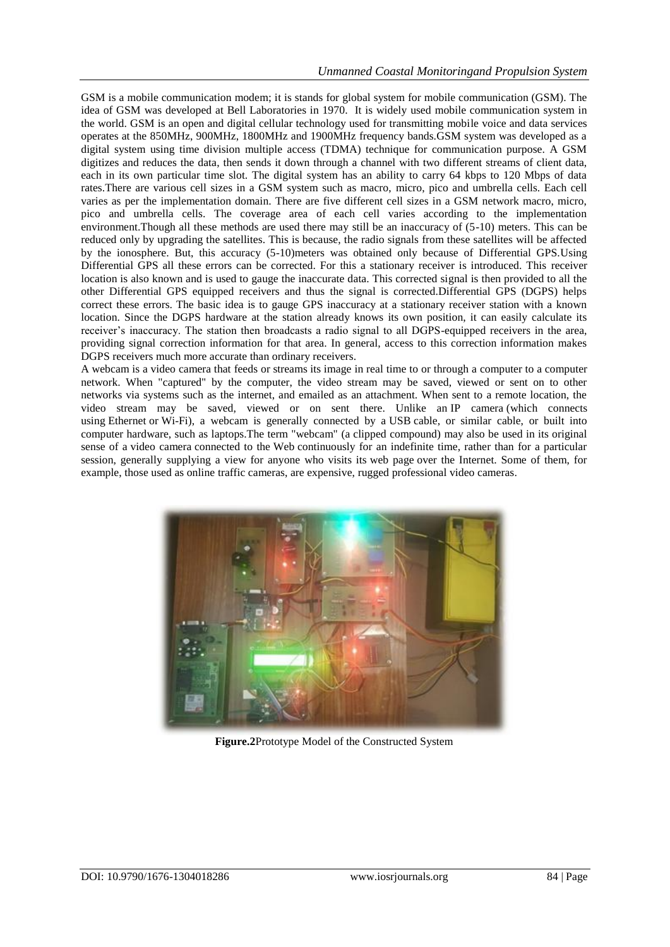GSM is a mobile communication modem; it is stands for global system for mobile communication (GSM). The idea of GSM was developed at Bell Laboratories in 1970. It is widely used mobile communication system in the world. GSM is an open and digital cellular technology used for transmitting mobile voice and data services operates at the 850MHz, 900MHz, 1800MHz and 1900MHz frequency bands.GSM system was developed as a digital system using time division multiple access (TDMA) technique for communication purpose. A GSM digitizes and reduces the data, then sends it down through a channel with two different streams of client data, each in its own particular time slot. The digital system has an ability to carry 64 kbps to 120 Mbps of data rates.There are various cell sizes in a GSM system such as macro, micro, pico and umbrella cells. Each cell varies as per the implementation domain. There are five different cell sizes in a GSM network macro, micro, pico and umbrella cells. The coverage area of each cell varies according to the implementation environment.Though all these methods are used there may still be an inaccuracy of (5-10) meters. This can be reduced only by upgrading the satellites. This is because, the radio signals from these satellites will be affected by the ionosphere. But, this accuracy (5-10)meters was obtained only because of Differential GPS.Using Differential GPS all these errors can be corrected. For this a stationary receiver is introduced. This receiver location is also known and is used to gauge the inaccurate data. This corrected signal is then provided to all the other Differential GPS equipped receivers and thus the signal is corrected.Differential GPS (DGPS) helps correct these errors. The basic idea is to gauge GPS inaccuracy at a stationary receiver station with a known location. Since the DGPS hardware at the station already knows its own position, it can easily calculate its receiver's inaccuracy. The station then broadcasts a radio signal to all DGPS-equipped receivers in the area, providing signal correction information for that area. In general, access to this correction information makes DGPS receivers much more accurate than ordinary receivers.

A webcam is a video camera that feeds or streams its image in real time to or through a computer to a computer network. When "captured" by the computer, the video stream may be saved, viewed or sent on to other networks via systems such as the internet, and emailed as an attachment. When sent to a remote location, the video stream may be saved, viewed or on sent there. Unlike an IP camera (which connects using Ethernet or Wi-Fi), a webcam is generally connected by a USB cable, or similar cable, or built into computer hardware, such as laptops.The term "webcam" (a clipped compound) may also be used in its original sense of a video camera connected to the Web continuously for an indefinite time, rather than for a particular session, generally supplying a view for anyone who visits its web page over the Internet. Some of them, for example, those used as online traffic cameras, are expensive, rugged professional video cameras.



**Figure.2**Prototype Model of the Constructed System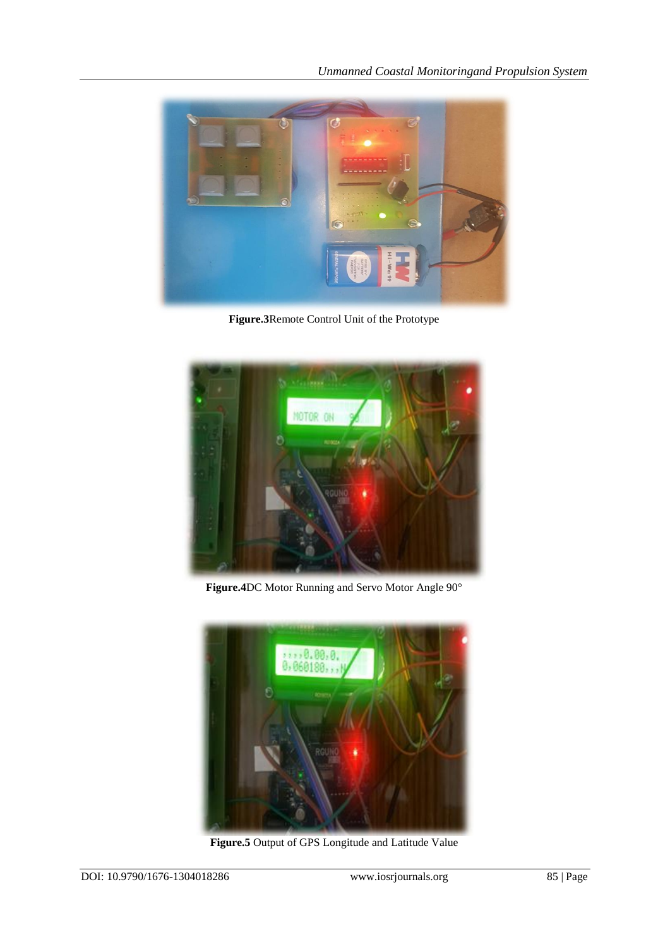

**Figure.3**Remote Control Unit of the Prototype



**Figure.4**DC Motor Running and Servo Motor Angle 90°



**Figure.5** Output of GPS Longitude and Latitude Value